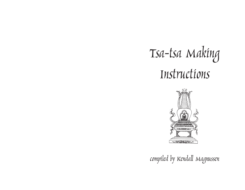# Tsa-tsa Making Instructions



compiled by Kendall Magnussen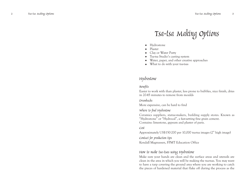# Tsa-tsa Making Options

- ·Hydrostone
- ·Plaster
- ·Clay or Water Putty
- $\blacklozenge$ Tsa-tsa Studio's casting system
- ·Water, paper, and other creative approaches
- · What to do with your tsa-tsas

# Hydrostone

#### Benefits

Easier to work with than plaster, less prone to bubbles, nice finish, dries in 20-45 minutes to remove from moulds

#### Drawbacks

More expensive, can be hard to find

#### Where to find Hydrostone

Ceramics suppliers, statue-makers, building supply stores. Known as "Hydrostone" or "Hydrocal", a fast-setting fine grain cement. Contains: limestone, gypsum and plaster of paris.

#### Cost

Approximately US\$150-200 per 10,000 tsa-tsa images (2" high image)

Contact for production tips Kendall Magnussen, FPMT Education Office

#### How to make tsa-tsas using Hydrostone

Make sure your hands are clean and the surface areas and utensils are clean in the area in which you will be making the tsa-tsas. You may want to have a tarp covering the ground area where you are working to catch the pieces of hardened material that flake off during the process as the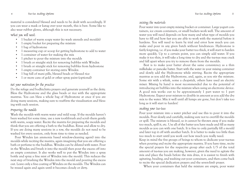<sup>4</sup> Tsa-tsa Making Options Tsa-tsa Making Options <sup>5</sup>

material is considered blessed and needs to be dealt with accordingly. If you can wear a mask or katag over your mouth, this is best. Some like to also wear rubber gloves, although this is not necessary.

What you will need:

- 1 bucket of warm soapy water (to wash utensils and moulds)
- •1 empty bucket for preparing the mixture
- •1 bag of hydrostone
- •1 measuring cup or scoop for getting hydrostone to add to water
- •1 container of water for making the mix
- •1 pitcher to pour the mixture into the moulds
- •1 brush or straight stick for removing bubbles with Windex
- •1 brush or straight stick for removing bubbles from hydrostone
- •1 empty container for storing extra Windex
- •1 bag full of mani pills, blessed beads or blessed rice
- •1 or more cans of gold or other spray paint (optional)

#### Set your motivation for the practice

Do the refuge and bodhichitta prayers and generate yourself as the deity. Bless the Hydrostone and the glass beads or rice with the appropriate mantras. You can bless a whole bag of Hydrostone at once if you are doing many sessions, making sure to reaffirm the visualization and blessing with each session.

#### Preparing the moulds

Wash the moulds with warm water and mild soap. If the moulds haven't been washed for some time, use a new toothbrush and scrub them gently with warm, soapy water. Recite the mantra for preparing the moulds and think that you are offering a bath to the buddhas. Rinse and allow to dry. If you are doing many sessions in a row, the moulds do not need to be washed for every session, only from time to time as needed.

Pour Windex (an ammonia based window-cleaning agent) into the moulds while reciting the mantra, again imagining that you are offering a bath or perfume to the buddhas. Windex can be diluted with water. Pour in the Windex and brush it into the mould then pour the excess off into an empty container. It also works well to put the Windex into a spray bottle and spray a fine mist of Windex into the mould. This reduces the next step of brushing the Windex into the mould and pouring the excess out. Leave only a fine coating of Windex on the moulds. The Windex can be reused again and again until it becomes cloudy or dirty.

#### Mixing the materials

Pour water into your empty mixing bucket or container. Large yogurt containers, ice cream containers, or small buckets work well. The amount of water you will need depends on how many and what type of moulds you have to fill and how fast you are able to work with the material before it hardens. You will need to learn by trial and error how much you can make and pour in any given batch without hindrances. Hydrostone is fairly forgiving, i.e. if you make your batter too thick, it will start to harden more quickly. Up to a certain point, you can simply add water. If you make it too thin, it will take a long time to dry and the tsa-tsas may crack and fall apart when you try to remove them from the moulds.

Best is to make your batter about the same consistency as a thin milkshake or pancake batter. Start with the water in your mixing container and slowly add the Hydrostone while stirring. Recite the appropriate mantras as you add the Hydrostone, and, again, as you stir the mixture. Some stir with a whisk, some a chopstick, others have used an electric mixer. Mixing by hand is most recommended due to the potential of introducing air bubbles into the mixture when using an electronic device. A good mix works out to be approximately 1 part water to 1 part Hydrostone. Expect your mixture to double in amount as you add the dry mix to the water. Mix it well until all lumps are gone, but don't take too long as it will start to harden!

#### Making your tsa-tsas

Pour your mixture into a water pitcher and use this to pour it into the moulds. Pour slowly and carefully, making sure not to overfill the moulds or spill. The mixture is blessed, so it cannot be thrown away if you make too much, spill it, etc. Use all of the batter you have made and fill as many moulds as you can with one batch. It is fine to only partially fill a mould and later top it off with another batch. It is better to make too little than too much to start until you work out how much you really need.

Keep in mind the five groups of beings to whom to dedicate your tsa-tsas when pouring and recite the appropriate mantra. If you have time, recite the special prayers for the respective group after each 1/5 of the total amount of tsa-tsas you are making, however, given the need to agitate the mix and place the beads before the mix dries, it is easiest to finish with agitating, beading, and washing out your containers, and then come back to recite the special dedication prayers and the seven-limb prayer.

When your containers that held the mixture are empty, pour water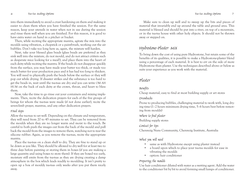into them immediately to avoid a crust hardening on them and making it easier to clean them when you have finished the session. For the same reason, keep your utensils in water when not in use during the session and rinse them well when you are finished. For this reason, it is good to have extra water on hand in a pitcher or bucket.

Then, while reciting the appropriate mantra, agitate the mix into the moulds using vibration, a chopstick or a paintbrush, working out the air bubbles. Don't take too long here as, again, the mixture will harden.

Next, take your blessed glass beads (glass beads are preferred as they sink well into the mixture, do not mould, and do not attract critters such as desperate mice looking for a meal!), and place them into the heart of each deity while reciting the mantra. If the beads do not disappear quickly from the surface, you may have made your batter too thick, or made too much batter for your production pace and it has had too long to thicken. You will need to physically push the beads below the surface or they will pop out while drying. If disaster strikes and the substance is too hard to get the beads in, wait until the tsa-tsas are dry and you can write OM AH HUM on the back of each deity at the crown, throat, and heart to bless them.

Now, take the time to go rinse out your containers and mixing implements. Then, recite the dedication prayers for each of the five groups of beings for whom the tsa-tsas were made (if not done earlier), recite the seven-limb prayer, mantras, and any other dedication prayers.

#### Final steps

Allow the tsa-tsas to set well. Depending on the climate and temperature, they will need from 20 to 45 minutes to set. They can be removed from the moulds when they are no longer warm and moist to the touch. Be careful to both push the images out from the back of the mould and pull back the mould from the images to remove them, watching not to tear the silicone rubber. Again, as you remove the tsa-tsas, recite the appropriate mantra.

Place the tsa-tsas on a clean shelf to dry. They are fine to stand up or lie down as you like. They should be allowed to dry well for at least two to three days before painting or storing them in boxes (if you are making a large quantity and using boxes to store them). If they are boxed too early, moisture still emits from the tsa-tsas as they are drying creating a damp atmosphere in the box which leads readily to moulding. It isn't pretty to open up a box of mouldy tsa-tsas only weeks after you put them nicely away.

Make sure to clean up well and to sweep up the bits and pieces of material that invariably end up around the table and ground area. This material is blessed and should be put into a river, on top of a mountain, or in the tsa-tsa house with other holy objects. It should not be thrown away or stepped on.

# Hydrostone-Plaster Mix

To bring down the cost of using pure Hydrostone, but retain some of the benefits of its qualities, it is possible to make a Hydrostone-plaster blend using a percentage of each material. It is best to err on the side of more Hydrostone than plaster. Use the techniques described above or below as suits your experience as you work with the material.

# Plaster

#### Benefits

Cheap material, easy to find at most building supply or art stores

#### Drawbacks

Prone to producing bubbles, challenging material to work with, long drying time (1–2 hours minimum drying time, 5–6 hours best before removing from moulds)

Where to find plaster Building supply stores

Contact for tips

Chenrezig Nuns Community, Chenrezig Institute, Australia

What you will need

- •same as with Hydrostone except using plaster instead
- • a board upon which to place your tsa-tsa moulds for ease in vibrating the moulds
- option: hair conditioner

## Preparing the moulds

Use hair conditioner diluted with water as a wetting agent. Add the water to the conditioner bit by bit to avoid forming small lumps of conditioner.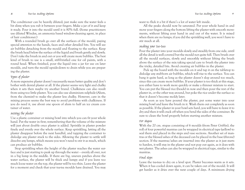The conditioner can be heavily diluted; just make sure the water feels a bit slimy when you rub it between your fingers. Make a jar of it and keep it ready. Pour it into the mould until it is 80% full. (Some practitioners use diluted Windex, an ammonia based window-cleaning agent, in place of hair conditioner.)

With a rounded brush go over all the surfaces of the mould, paying special attention to the hands, faces and other detailed bits. You will see air bubbles detaching from the mould and floating to the surface. Keep the brush head below the surface of the liquid and brush gently and slowly. Don't take the brush in and out or you will create more bubbles. The best kind of brush to use is a small, stiff-bristled one for oil paints, with a round head. When finished, pour the liquid into a jar for use on later moulds, and turn the mould upside-down to drain while you are preparing the plaster.

#### Types of plaster

A more expensive plaster doesn't necessarily mean better quality and don't bother with dental plaster at all. If the plaster seems very light and chalky when it sets then maybe try another brand. Chalkiness can also result from using too little plaster. You can also use aluminium sulphide (Alum, from the chemist) to make the plaster less chalky. However, care in the mixing process seems the best way to avoid problems with chalkiness. If you do need it, use about one spoon of alum to half an ice cream container of water.

#### Mixing the plaster

Use a plastic container or mixing bowl into which you can fit your whole hand. Put the water in first; remembering that the volume of the mixture will just about double once plaster is added. Sprinkle in plaster powder finely and evenly over the whole surface. Keep sprinkling, letting all the <sup>p</sup>laster disappear before the next handful, and tapping the container to dislodge any plaster stuck to the sides. Allowing the plaster to settle will dissolve any lumps, which means you won't need to stir it as much, which can produce air bubbles.

Stop sprinkling when the height of the plaster reaches the water surface and is just starting to peak up through the water – evenly all over, not in a big lump in the middle. If there are big, uneven patches above the water surface, the plaster will be thick and lumpy and if you leave too much loose water on the top, the plaster will be too thin. Leave the plaster for a moment and check that your tsa-tsa moulds have drained. You may want to flick it a bit if there's a lot of water left inside.

All the peaks should now be saturated. Put your whole hand in and move your fingers along the bottom lifting the plaster with smooth movements, without lifting your hand in and out of the water. It is mixed when there are no lumps; if you did the sprinkling well, you won't have to stir much at all.

#### Making your tsa-tsas

Pour the plaster into your moulds slowly and steadily from one side, until all the detail is well covered but the mould not quite full. Then brush over all the mould surfaces, slowly and smoothly without lifting the brush above the surface of the mix taking special care to brush the plaster into the tricky, detailed bits. Avoid creating air bubbles in the plaster.

Pick up the board with the moulds on it and tap it on the tabletop to dislodge any stubborn air bubbles, which will rise to the surface. You can bang it quite hard, as long as the plaster doesn't slop around too much, since this can create more bubbles. If your plaster is too thick at this stage, you either have to work more quickly or make a thinner mixture to start. You can put the blessed rice (beads) in now and then pour the rest of the <sup>p</sup>laster in, or the other way around, but poke the rice under the surface so that it doesn't become moldy later.

As soon as you have poured the plaster, put some water into your mixing bowl and leave the brush in it. Wash them out completely as soon as possible. If the plaster in your bowl sets hard, you will have to leave it to dry and then it will crack off when you bend the sides of the container. Be sure to clean the bowl properly before starting another mixture.

#### For stupas

With the 20 cm. stupas consisting of 6 moulds (from Peter Griffin), the roll of four powerful mantras can be wrapped in electrical tape (yellow) to seal them and placed in the steps and vase sections. Another set of mantras or the blessed ashes of the deceased can be placed in the base (throne) section. If the mantras/ashes are inserted into the plaster as it just starts to harden, it will stay in the plaster and not pop out again, as it does with wet plaster. The ashes can also be wrapped in electrical tape, similar to the mantras.

#### Final steps

Leave the tsa-tsas to dry on a level spot. Plaster becomes warm as it sets. When it has cooled down again, it can be taken out of the mould. It will get harder as it dries over the next couple of days. A minimum drying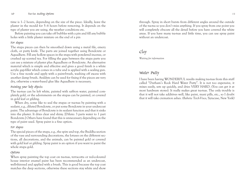<sup>10</sup> Tsa-tsa Making Options Tsa-tsa Making Options <sup>11</sup>

time is 1–2 hours, depending on the size of the piece. Ideally, leave the <sup>p</sup>laster in the mould for 5–6 hours before removing. It depends on the type of plaster you are using, the weather conditions etc.

Before painting you can take off bubbles with a pin and fill any bubble holes with a little plaster mixture on the end of a pin

#### For stupas

The stupa pieces can then be smoothed down using a metal file, emery cloth, or putty knife. The parts are joined together using Bondcrete or Aquadhere. Fill any hollow spaces in the stupa with powdered incense, or crushed up scented tea. For filling the gaps between the stupa parts you can use a mixture of plaster plus Aquadhere or Bondcrete. An alternative material which is simple and effective and gives a good finish is a white acrylic gap-filler which comes in a tube and is applied with a sealing gun. Use a fine nozzle and apply with a paint-brush, washing off excess with another damp brush. Araldyte can be used for fixing if the pieces are very dry, otherwise a water-based glue like Aquadhere is necessary.

#### Painting your holy objects:

The tsa-tsas can be left white, painted with saffron water, painted com<sup>p</sup>letely gold, or the adornments on the stupas can be painted, or covered in gold leaf or gilding.

When dry, some like to seal the stupas or tsa-tsas by painting with a sealant, e.g., diluted Bondcrete, or put some Bondcrete in your undercoat paint. The advantage of Bondcrete is its sealant function and that it sinks into the plaster. It dries clear and shiny. [Dilute: 3 parts water to 1 part Bondcrete.] Others have found that this is unnecessary depending on the type of paint used. Spray paint is a fine option.

#### For stupas

The special pieces of the stupa, e.g., the spire and top, the Buddha section of the vase and surrounding decorations, the lotuses on the different sections, all decorations, and the animals, can be painted gold or covered with gold leaf or gilding. Spray paint is an option if you want to paint the whole stupa gold.

#### Options

When spray painting the top coat on tsa-tsas, terracotta or red-coloured house interior enamel paint has been recommended as an undercoat, well-thinned and applied with a brush. This is good because the top coat matches the deep sections, otherwise these sections stay white and show

through. Spray in short bursts from different angles around the outside of the tsa-tsa so you don't miss anything. If you spray from one point you will completely obscure all the detail before you have covered the white areas. If you have many tsa-tsas and little time, you can use spray paint without an undercoat.

# Clay

*Waiting for information*

#### Water Putty

I have been having WONDERFUL results making tsa-tsas from this stuff called "Durham's Rock Hard Water Putty". It is not too expensive, it mixes easily, sets up quickly, and dries VERY HARD. (You can get it at most hardware stores). It really makes great tsa-tsas. The only trouble is that it will not take additives well, like paint, mani pills, etc., so I doubt that it will take cremation ashes. *(Babette Teich-Visco,* Syracuse, New York)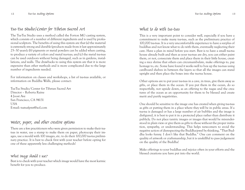# Tsa-Tsa Studio/Center for Tibetan Sacred Art

The Tsa-Tsa Studio uses a method called the Forton MG casting system, which consists of a number of different ingredients and is used by professional sculptors. The benefits of using this system are that (a) the material is extremely strong and durable (products made from it last approximately 25–30 years); (b) pigments or metal powders can be added when casting, to produce a variety of colors and metal tsa-tsas; and (c) the metal tsa-tsas can be used outdoors without being damaged, such as in gardens, installations, and walls. The drawbacks to using this system are that it is more expensive than other methods and is more complicated due to the large number of ingredients needed.

For information on classes and workshops, a list of tsa-tsas available, or information on Buddha Walls, please contact:

Tsa-Tsa Studio/Center for Tibetan Sacred Art Director – Roberta Raine 4 Joost Ave San Francisco, CA 94131 USA E-mail: tsatsafpmt@aol.com

# Water, paper, and other creative options

There are a few practitioners who were given permission to make their tsatsas in water, use a stamp to make them on paper, photocopy their images, use a mould with 100 images, etc. to do their 100,000 tsa-tsa preliminary practice. It is best to check first with your teacher before opting for one of these apparently less challenging methods!

# What image should I use?

Best is to check with your teacher which image would have the most karmic benefit for you to produce.

# What to do with tsa-tsas

This is a very important point to consider well, especially if you have a commitment to make many tsa-tsas, such as the preliminary practice of 100,000 tsa-tsas. It is a very uncomfortable experience to have a surplus of buddhas and not know what to do with them, eventually neglecting their care. Have a plan in mind before you start. Best is to have a small tsa-tsa house already built and then as your tsa-tsas are dry, you can either paint them, or not, consecrate them and place them in their little house, creating a nice shrine that others can circumambulate, make offerings to, pay homage to, etc. Some have found it works well to box up the tsa-tsas using cardboard shelves in between the layers so that all the images can stand upright and then place the boxes into the tsa-tsa house.

Other options are to put your tsa-tsas in a cave, in trees, give them away as gifts, or place them in the ocean. If you put them in the ocean, do so respectfully, not upside down, as an offering to the nagas and the creatures of the ocean as an opportunity for them to be blessed and create merit and purify negativities.

One should be sensitive to the image one has created when giving tsa-tsas as gifts or putting them in a place where they will be in public areas. If a tsa-tsa is damaged or has a large number of air bubbles and the image is disfigured, it is best to put it in a protected place rather than distribute it publicly. Do not place tantric images or images that would be misunderstood in plain view or give them as gifts to those without the proper initiation, sympathy, or understanding. This helps newcomers to avoid the negative action of disrespecting the Buddha-jewel by thinking, "That Buddha looks funny. I don't like that Buddha." One can comment on the quality of artwork or craftsmanship, but it is unskillful to pass judgement on the quality of the Buddha!

Make offerings to your buddhas and rejoice often in your efforts and the blessed creations you have put into the world.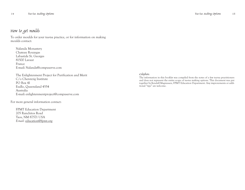# How to get moulds

To order moulds for your tsa-tsa practice, or for information on making moulds contact:

Nalanda Monastery Chateau Rouzegas Labastide St. Georges 81500 Lavaur France E-mail: Nalanda@compuserve.com

The Enlightenment Project for Purification and Merit C/o Chenrezig Institute PO Box 41 Eudlo, Queensland 4554 Australia E-mail: enlightenmentproject@compuserve.com

For more general information contact:

FPMT Education Department 205 Ranchitos Road Taos, NM 87571 USA *E-mail:* education@fpmt.org

#### Colophon:

The information in this booklet was compiled from the notes of a few tsa-tsa practitioners and does not represent the entire scope of tsa-tsa making options. This document was put together by Kendall Magnussen, FPMT Education Department. Any improvements or additional "tips" are welcome.